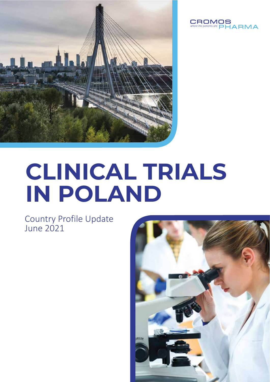



# **CLINICAL TRIALS IN POLAND**

Country Profile Update June 2021

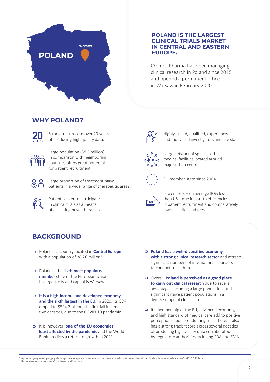

## **POLAND IS THE LARGEST CLINICAL TRIALS MARKET IN CENTRAL AND EASTERN EUROPE.**

Cromos Pharma has been managing clinical research in Poland since 2015 and opened a permanent office in Warsaw in February 2020.

## **WHY POLAND?**



Strong track record over 20 years of producing high quality data.



Large population (38.5 million) in comparison with neighboring countries offers great potential for patient recruitment.



Large proportion of treatment-naïve patients in a wide range of therapeutic areas.



Patients eager to participate in clinical trials as a means of accessing novel therapies.



Highly skilled, qualified, experienced and motivated investigators and site staff.



Large network of specialized medical facilities located around major urban centres.



EU member state since 2004.



Lower costs – on average 30% less than US – due in part to efficiencies in patient recruitment and comparatively lower salaries and fees.

## **BACKGROUND**

- Poland is a country located in **Central Europe** with a population of 38.26 million $<sup>1</sup>$ .</sup>
- Poland is the **sixth most populous member** state of the European Union. Its largest city and capital is Warsaw.
- diverse range of clinical areas. **It is <sup>a</sup> high-income and developed economy and the sixth largest in the EU.** In 2020, its GDP dipped to \$594.2 billion, the first fall in almost two decades, due to the COVID-19 pandemic.
- It is, however, **one of the EU economies least affected by the pandemic** and the World Bank predicts a return to growth in 2021.
- **Poland has a well-diversified economy with a strong clinical research sector** and attracts significant numbers of international sponsors to conduct trials there.
- Overall, **Poland is perceived as a good place to carry out clinical research** due to several advantages including a large population, and significant naïve patient populations in a
- $\Box$  Its membership of the EU, advanced economy, and high standard of medical care add to positive perceptions about conducting trials there. It also has a strong track record across several decades of producing high quality data corroborated by regulatory authorities including FDA and EMA.

1 https://stat.gov.pl/en/topics/population/population/population-size-and-structure-and-vital-statistics-in-poland-by-territorial-divison-as-of-december-31-2020,3,29.html 2 https://www.worldbank.org/en/country/poland/overview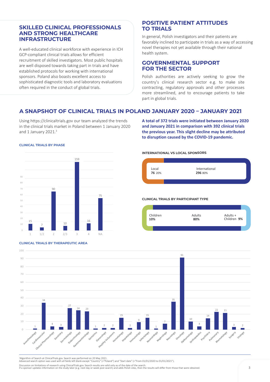## **SKILLED CLINICAL PROFESSIONALS AND STRONG HEALTHCARE INFRASTRUCTURE**

A well-educated clinical workforce with experience in ICH GCP-compliant clinical trials allows for efficient recruitment of skilled investigators. Most public hospitals are well disposed towards taking part in trials and have established protocols for working with international sponsors. Poland also boasts excellent access to sophisticated diagnostic tools and laboratory evaluations often required in the conduct of global trials.

## **POSITIVE PATIENT ATTITUDES TO TRIALS**

In general, Polish investigators and their patients are favorably inclined to participate in trials as a way of accessing novel therapies not yet available through their national health system.

## **GOVERNMENTAL SUPPORT FOR THE SECTOR**

Polish authorities are actively seeking to grow the country's clinical research sector e.g. to make site contracting, regulatory approvals and other processes more streamlined, and to encourage patients to take part in global trials.

## **A SNAPSHOT OF CLINICAL TRIALS IN POLAND JANUARY 2020 – JANUARY 2021**

Using https://clinicaltrials.gov our team analyzed the trends in the clinical trials market in Poland between 1 January 2020 and 1 January 2021.<sup>3</sup>

**A total of 372 trials were initiated between January 2020 and January 2021 in comparison with 392 clinical trials the previous year. This slight decline may be attributed to disruption caused by the COVID-19 pandemic.** 

#### **CLINICAL TRIALS BY PHASE**



**CLINICAL TRIALS BY THERAPEUTIC AREA**

#### **INTERNATIONAL VS LOCAL SPONSORS**



#### **CLINICAL TRIALS BY PARTICIPANT TYPE**





<sup>3</sup>Algorithm of Search at ClinicalTrials.gov. Search was performed on 20 May 2021.

Advanced search option was used with all fields left blank except "Country" (="Poland") and "Start date" (="From 01/01/2020 to 01/01/2021").

Discussion on limitations of research using ClinicalTrials.gov. Search results are valid only as of the date of the search.<br>If a sponsor updates information on the study later (e.g. next day or week post search) and adds P